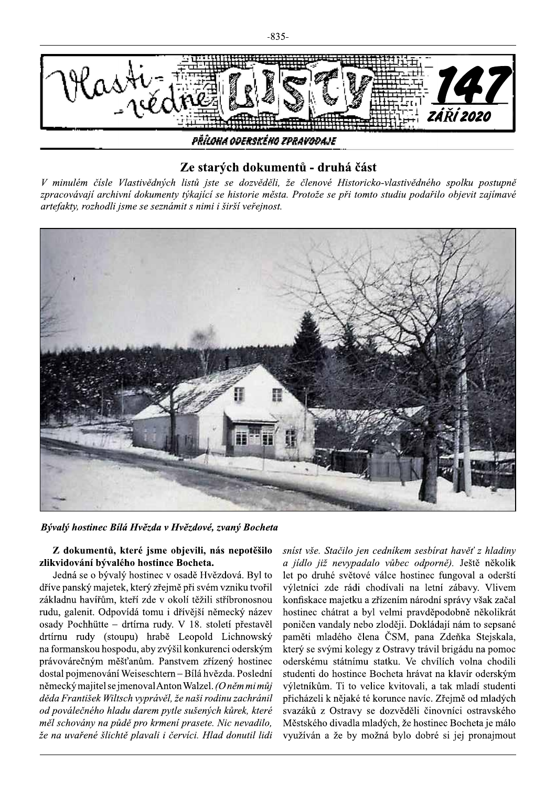

## Ze starých dokumentů - druhá část

V minulém čísle Vlastivědných listů jste se dozvěděli, že členové Historicko-vlastivědného spolku postupně zpracovávají archivní dokumenty týkající se historie města. Protože se při tomto studiu podařilo objevit zajímavé artefakty, rozhodli jsme se seznámit s nimi i širší veřejnost.



Bývalý hostinec Bílá Hvězda v Hvězdové, zvaný Bocheta

## Z dokumentů, které jsme objevili, nás nepotěšilo zlikvidování bývalého hostince Bocheta.

Jedná se o bývalý hostinec v osadě Hvězdová. Byl to dříve panský majetek, který zřejmě při svém vzniku tvořil základnu havířům, kteří zde v okolí těžili stříbronosnou rudu, galenit. Odpovídá tomu i dřívější německý název osady Pochhütte - drtírna rudy. V 18. století přestavěl drtírnu rudy (stoupu) hrabě Leopold Lichnowský na formanskou hospodu, aby zvýšil konkurenci oderským právovárečným měšťanům. Panstvem zřízený hostinec dostal pojmenování Weiseschtern - Bílá hvězda. Poslední německý majitel se jmenoval Anton Walzel. (O něm mi můj děda František Wiltsch vyprávěl, že naši rodinu zachránil od poválečného hladu darem pytle sušených kůrek, které měl schovány na půdě pro krmení prasete. Nic nevadilo, že na uvařené šlichtě plavali i červíci. Hlad donutil lidi sníst vše. Stačilo jen cedníkem sesbírat havěť z hladiny a jídlo již nevypadalo vůbec odporně). Ještě několik let po druhé světové válce hostinec fungoval a oderští výletníci zde rádi chodívali na letní zábavy. Vlivem konfiskace majetku a zřízením národní správy však začal hostinec chátrat a byl velmi pravděpodobně několikrát poničen vandaly nebo zloději. Dokládají nám to sepsané paměti mladého člena ČSM, pana Zdeňka Stejskala, který se svými kolegy z Ostravy trávil brigádu na pomoc oderskému státnímu statku. Ve chvílích volna chodili studenti do hostince Bocheta hrávat na klavír oderským výletníkům. Ti to velice kvitovali, a tak mladí studenti přicházeli k nějaké té korunce navíc. Zřejmě od mladých svazáků z Ostravy se dozvěděli činovníci ostravského Městského divadla mladých, že hostinec Bocheta je málo využíván a že by možná bylo dobré si jej pronajmout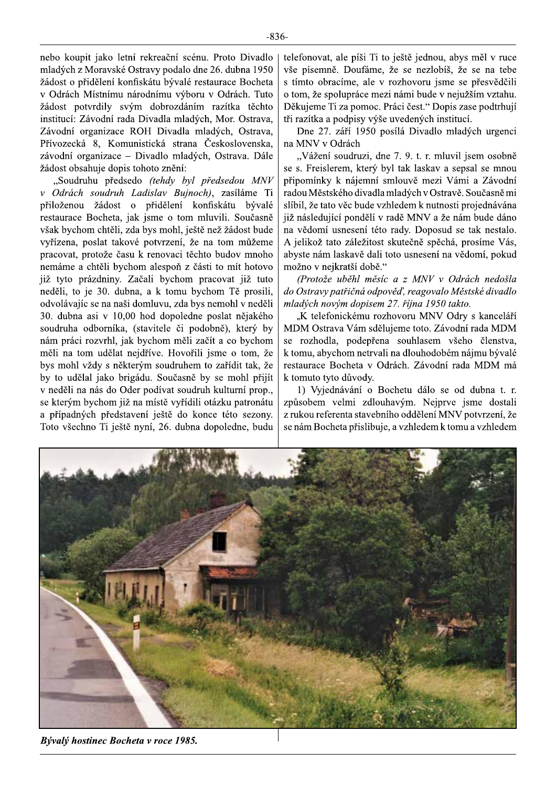nebo koupit jako letní rekreační scénu. Proto Divadlo mladých z Moravské Ostravy podalo dne 26. dubna 1950 žádost o přidělení konfiskátu bývalé restaurace Bocheta v Odrách Místnímu národnímu výboru v Odrách. Tuto žádost potvrdily svým dobrozdáním razítka těchto institucí: Závodní rada Divadla mladých, Mor. Ostrava, Závodní organizace ROH Divadla mladých, Ostrava, Přívozecká 8, Komunistická strana Československa, závodní organizace – Divadlo mladých, Ostrava. Dále žádost obsahuje dopis tohoto znění:

"Soudruhu předsedo (tehdy byl předsedou MNV v Odrách soudruh Ladislav Bujnoch), zasíláme Ti přiloženou žádost o přidělení konfiskátu bývalé restaurace Bocheta, jak jsme o tom mluvili. Současně však bychom chtěli, zda bys mohl, ještě než žádost bude vyřízena, poslat takové potvrzení, že na tom můžeme pracovat, protože času k renovaci těchto budov mnoho nemáme a chtěli bychom alespoň z části to mít hotovo již tyto prázdniny. Začali bychom pracovat již tuto neděli, to je 30. dubna, a k tomu bychom Tě prosili, odvolávajíc se na naši domluvu, zda bys nemohl v neděli 30. dubna asi v 10,00 hod dopoledne poslat nějakého soudruha odborníka, (stavitele či podobně), který by nám práci rozvrhl, jak bychom měli začít a co bychom měli na tom udělat nejdříve. Hovořili jsme o tom, že bys mohl vždy s některým soudruhem to zařídit tak, že by to udělal jako brigádu. Současně by se mohl přijít v neděli na nás do Oder podívat soudruh kulturní prop., se kterým bychom již na místě vyřídili otázku patronátu a případných představení ještě do konce této sezony. Toto všechno Ti ještě nyní, 26. dubna dopoledne, budu telefonovat, ale píši Ti to ještě jednou, abys měl v ruce vše písemně. Doufáme, že se nezlobíš, že se na tebe s tímto obracíme, ale v rozhovoru jsme se přesvědčili o tom, že spolupráce mezi námi bude v nejužším vztahu. Děkujeme Ti za pomoc. Práci čest." Dopis zase podtrhují tři razítka a podpisy výše uvedených institucí.

Dne 27. září 1950 posílá Divadlo mladých urgenci na MNV v Odrách

"Vážení soudruzi, dne 7. 9. t. r. mluvil jsem osobně se s. Freislerem, který byl tak laskav a sepsal se mnou připomínky k nájemní smlouvě mezi Vámi a Závodní radou Městského divadla mladých v Ostravě. Současně mi slíbil, že tato věc bude vzhledem k nutnosti projednávána již následující pondělí v radě MNV a že nám bude dáno na vědomí usnesení této rady. Doposud se tak nestalo. A jelikož tato záležitost skutečně spěchá, prosíme Vás, abyste nám laskavě dali toto usnesení na vědomí, pokud možno v nejkratší době."

(Protože uběhl měsíc a z MNV v Odrách nedošla do Ostravy patřičná odpověď, reagovalo Městské divadlo mladých novým dopisem 27. října 1950 takto.

"K telefonickému rozhovoru MNV Odry s kanceláří MDM Ostrava Vám sdělujeme toto. Závodní rada MDM se rozhodla, podepřena souhlasem všeho členstva, k tomu, abychom netrvali na dlouhodobém nájmu bývalé restaurace Bocheta v Odrách. Závodní rada MDM má k tomuto tyto důvody.

1) Vyjednávání o Bochetu dálo se od dubna t. r. způsobem velmi zdlouhavým. Nejprve jsme dostali z rukou referenta stavebního oddělení MNV potvrzení, že se nám Bocheta přislibuje, a vzhledem k tomu a vzhledem



Bývalý hostinec Bocheta v roce 1985.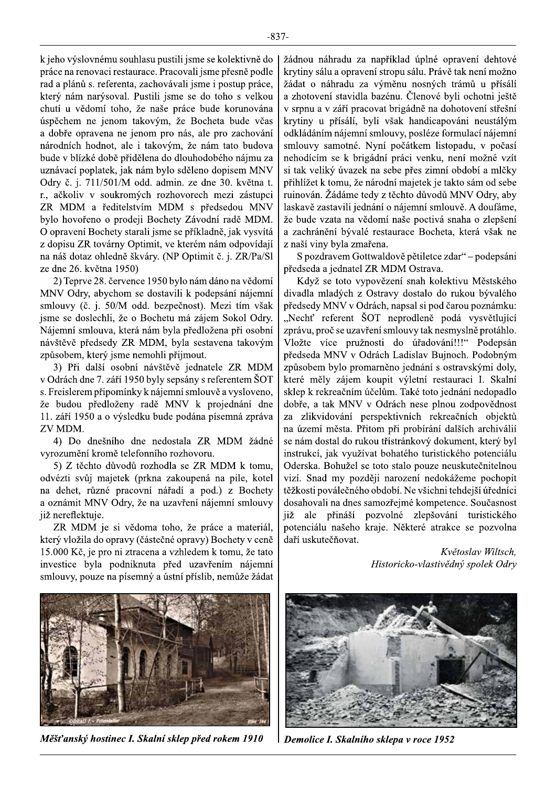k jeho výslovnému souhlasu pustili jsme se kolektivně do práce na renovaci restaurace. Pracovali jsme přesně podle rad a plánů s. referenta, zachovávali jsme i postup práce, který nám narýsoval. Pustili jsme se do toho s velkou chutí u vědomí toho, že naše práce bude korunována úspěchem ne jenom takovým, že Bocheta bude včas a dobře opravena ne jenom pro nás, ale pro zachování národních hodnot, ale i takovým, že nám tato budova bude v blízké době přidělena do dlouhodobého nájmu za uznávací poplatek, jak nám bylo sděleno dopisem MNV Odry č. j. 711/501/M odd. admin. ze dne 30. května t. r., ačkoliv v soukromých rozhovorech mezi zástupci ZR MDM a ředitelstvím MDM s předsedou MNV bylo hovořeno o prodeji Bochety Závodní radě MDM. O opravení Bochety starali jsme se příkladně, jak vysvítá z dopisu ZR továrny Optimit, ve kterém nám odpovídají na náš dotaz ohledně škváry. (NP Optimit č. j. ZR/Pa/Sl ze dne 26. května 1950)

2) Teprve 28. července 1950 bylo nám dáno na vědomí MNV Odry, abychom se dostavili k podepsání nájemní smlouvy (č. j. 50/M odd. bezpečnost). Mezi tím však jsme se doslechli, že o Bochetu má zájem Sokol Odry. Nájemní smlouva, která nám byla předložena při osobní návštěvě předsedy ZR MDM, byla sestavena takovým způsobem, který jsme nemohli přijmout.

3) Při další osobní návštěvě jednatele ZR MDM v Odrách dne 7. září 1950 byly sepsány s referentem ŠOT s. Freislerem připomínky k nájemní smlouvě a vysloveno, že budou předloženy radě MNV k projednání dne 11. září 1950 a o výsledku bude podána písemná zpráva ZV MDM.

4) Do dnešního dne nedostala ZR MDM žádné vyrozumění kromě telefonního rozhovoru.

5) Z těchto důvodů rozhodla se ZR MDM k tomu, odvézti svůj majetek (prkna zakoupená na pile, kotel na dehet, různé pracovní nářadí a pod.) z Bochety a oznámit MNV Odry, že na uzavření nájemní smlouvy již nereflektuje.

ZR MDM je si vědoma toho, že práce a materiál, který vložila do opravy (částečné opravy) Bochety v ceně 15.000 Kč, je pro ni ztracena a vzhledem k tomu, že tato investice byla podniknuta před uzavřením nájemní smlouvy, pouze na písemný a ústní příslib, nemůže žádat



Měšťanský hostinec I. Skalní sklep před rokem 1910

žádnou náhradu za například úplné opravení dehtové krytiny sálu a opravení stropu sálu. Právě tak není možno žádat o náhradu za výměnu nosných trámů u přísálí a zhotovení stavidla bazénu. Členové byli ochotni ještě v srpnu a v září pracovat brigádně na dohotovení střešní krytiny u přísálí, byli však handicapováni neustálým odkládáním nájemní smlouvy, posléze formulací nájemní smlouvy samotné. Nyní počátkem listopadu, v počasí nehodícím se k brigádní práci venku, není možné vzít si tak veliký úvazek na sebe přes zimní období a mlčky přihlížet k tomu, že národní majetek je takto sám od sebe ruinován. Žádáme tedy z těchto důvodů MNV Odry, aby laskavě zastavili jednání o nájemní smlouvě. A doufáme, že bude vzata na vědomí naše poctivá snaha o zlepšení a zachránění bývalé restaurace Bocheta, která však ne z naší viny byla zmařena.

S pozdravem Gottwaldově pětiletce zdar" – podepsáni předseda a jednatel ZR MDM Ostrava.

Když se toto vypovězení snah kolektivu Městského divadla mladých z Ostravy dostalo do rukou bývalého předsedy MNV v Odrách, napsal si pod čarou poznámku: "Nechť referent ŠOT neprodleně podá vysvětlující zprávu, proč se uzavření smlouvy tak nesmyslně protáhlo. Vložte více pružnosti do úřadování!!!" Podepsán předseda MNV v Odrách Ladislav Bujnoch. Podobným způsobem bylo promarněno jednání s ostravskými doly, které měly zájem koupit výletní restauraci I. Skalní sklep k rekreačním účelům. Také toto jednání nedopadlo dobře, a tak MNV v Odrách nese plnou zodpovědnost za zlikvidování perspektivních rekreačních objektů na území města. Přitom při probírání dalších archiválií se nám dostal do rukou třístránkový dokument, který byl instrukcí, jak využívat bohatého turistického potenciálu Oderska. Bohužel se toto stalo pouze neuskutečnitelnou vizí. Snad my později narození nedokážeme pochopit těžkosti poválečného období. Ne všichni tehdejší úředníci dosahovali na dnes samozřejmé kompetence. Současnost již ale přináší pozvolné zlepšování turistického potenciálu našeho kraje. Některé atrakce se pozvolna daří uskutečňovat.

> Květoslav Wiltsch, Historicko-vlastivědný spolek Odry



Demolice I. Skalního sklepa v roce 1952